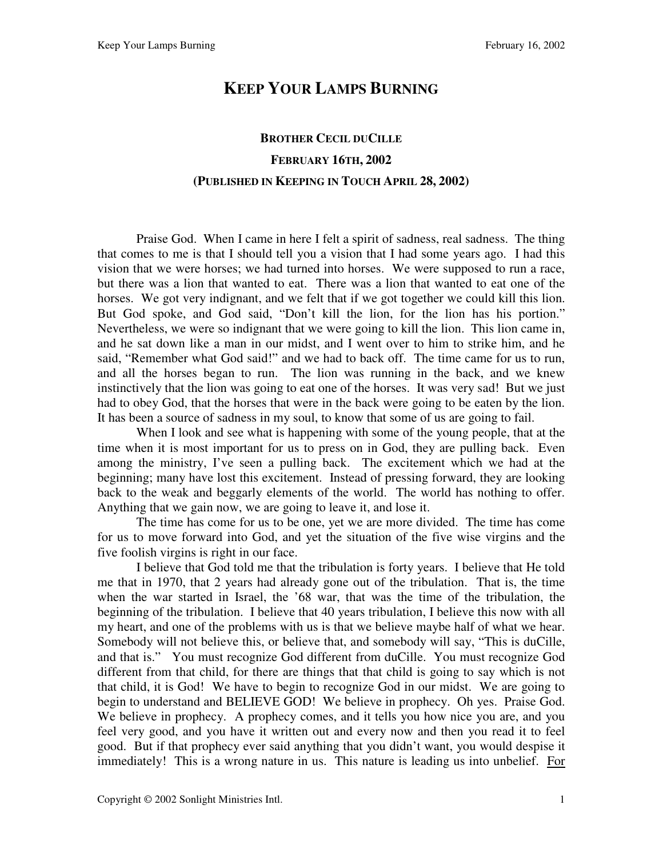## **KEEP YOUR LAMPS BURNING**

## **BROTHER CECIL DUCILLE FEBRUARY 16TH, 2002 (PUBLISHED IN KEEPING IN TOUCH APRIL 28, 2002)**

 Praise God. When I came in here I felt a spirit of sadness, real sadness. The thing that comes to me is that I should tell you a vision that I had some years ago. I had this vision that we were horses; we had turned into horses. We were supposed to run a race, but there was a lion that wanted to eat. There was a lion that wanted to eat one of the horses. We got very indignant, and we felt that if we got together we could kill this lion. But God spoke, and God said, "Don't kill the lion, for the lion has his portion." Nevertheless, we were so indignant that we were going to kill the lion. This lion came in, and he sat down like a man in our midst, and I went over to him to strike him, and he said, "Remember what God said!" and we had to back off. The time came for us to run, and all the horses began to run. The lion was running in the back, and we knew instinctively that the lion was going to eat one of the horses. It was very sad! But we just had to obey God, that the horses that were in the back were going to be eaten by the lion. It has been a source of sadness in my soul, to know that some of us are going to fail.

When I look and see what is happening with some of the young people, that at the time when it is most important for us to press on in God, they are pulling back. Even among the ministry, I've seen a pulling back. The excitement which we had at the beginning; many have lost this excitement. Instead of pressing forward, they are looking back to the weak and beggarly elements of the world. The world has nothing to offer. Anything that we gain now, we are going to leave it, and lose it.

 The time has come for us to be one, yet we are more divided. The time has come for us to move forward into God, and yet the situation of the five wise virgins and the five foolish virgins is right in our face.

 I believe that God told me that the tribulation is forty years. I believe that He told me that in 1970, that 2 years had already gone out of the tribulation. That is, the time when the war started in Israel, the '68 war, that was the time of the tribulation, the beginning of the tribulation. I believe that 40 years tribulation, I believe this now with all my heart, and one of the problems with us is that we believe maybe half of what we hear. Somebody will not believe this, or believe that, and somebody will say, "This is duCille, and that is." You must recognize God different from duCille. You must recognize God different from that child, for there are things that that child is going to say which is not that child, it is God! We have to begin to recognize God in our midst. We are going to begin to understand and BELIEVE GOD! We believe in prophecy. Oh yes. Praise God. We believe in prophecy. A prophecy comes, and it tells you how nice you are, and you feel very good, and you have it written out and every now and then you read it to feel good. But if that prophecy ever said anything that you didn't want, you would despise it immediately! This is a wrong nature in us. This nature is leading us into unbelief. For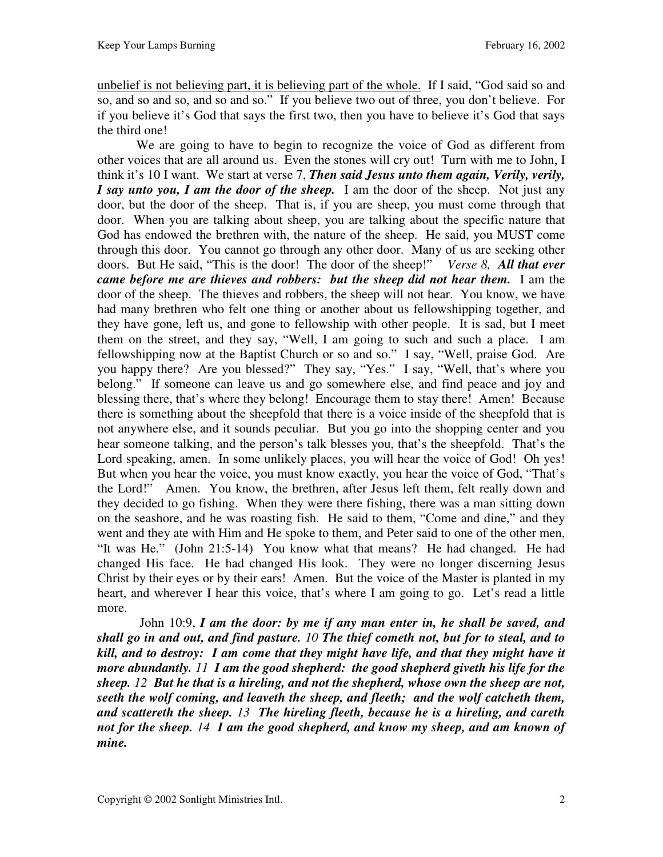unbelief is not believing part, it is believing part of the whole. If I said, "God said so and so, and so and so, and so and so." If you believe two out of three, you don't believe. For if you believe it's God that says the first two, then you have to believe it's God that says the third one!

 We are going to have to begin to recognize the voice of God as different from other voices that are all around us. Even the stones will cry out! Turn with me to John, I think it's 10 I want. We start at verse 7, *Then said Jesus unto them again, Verily, verily, I say unto you, I am the door of the sheep.* I am the door of the sheep. Not just any door, but the door of the sheep. That is, if you are sheep, you must come through that door. When you are talking about sheep, you are talking about the specific nature that God has endowed the brethren with, the nature of the sheep. He said, you MUST come through this door. You cannot go through any other door. Many of us are seeking other doors. But He said, "This is the door! The door of the sheep!" *Verse 8, All that ever came before me are thieves and robbers: but the sheep did not hear them.* I am the door of the sheep. The thieves and robbers, the sheep will not hear. You know, we have had many brethren who felt one thing or another about us fellowshipping together, and they have gone, left us, and gone to fellowship with other people. It is sad, but I meet them on the street, and they say, "Well, I am going to such and such a place. I am fellowshipping now at the Baptist Church or so and so." I say, "Well, praise God. Are you happy there? Are you blessed?" They say, "Yes." I say, "Well, that's where you belong." If someone can leave us and go somewhere else, and find peace and joy and blessing there, that's where they belong! Encourage them to stay there! Amen! Because there is something about the sheepfold that there is a voice inside of the sheepfold that is not anywhere else, and it sounds peculiar. But you go into the shopping center and you hear someone talking, and the person's talk blesses you, that's the sheepfold. That's the Lord speaking, amen. In some unlikely places, you will hear the voice of God! Oh yes! But when you hear the voice, you must know exactly, you hear the voice of God, "That's the Lord!" Amen. You know, the brethren, after Jesus left them, felt really down and they decided to go fishing. When they were there fishing, there was a man sitting down on the seashore, and he was roasting fish. He said to them, "Come and dine," and they went and they ate with Him and He spoke to them, and Peter said to one of the other men, "It was He." (John 21:5-14) You know what that means? He had changed. He had changed His face. He had changed His look. They were no longer discerning Jesus Christ by their eyes or by their ears! Amen. But the voice of the Master is planted in my heart, and wherever I hear this voice, that's where I am going to go. Let's read a little more.

 John 10:9, *I am the door: by me if any man enter in, he shall be saved, and shall go in and out, and find pasture. 10 The thief cometh not, but for to steal, and to kill, and to destroy: I am come that they might have life, and that they might have it more abundantly. 11 I am the good shepherd: the good shepherd giveth his life for the sheep. 12 But he that is a hireling, and not the shepherd, whose own the sheep are not, seeth the wolf coming, and leaveth the sheep, and fleeth; and the wolf catcheth them, and scattereth the sheep. 13 The hireling fleeth, because he is a hireling, and careth not for the sheep. 14 I am the good shepherd, and know my sheep, and am known of mine.*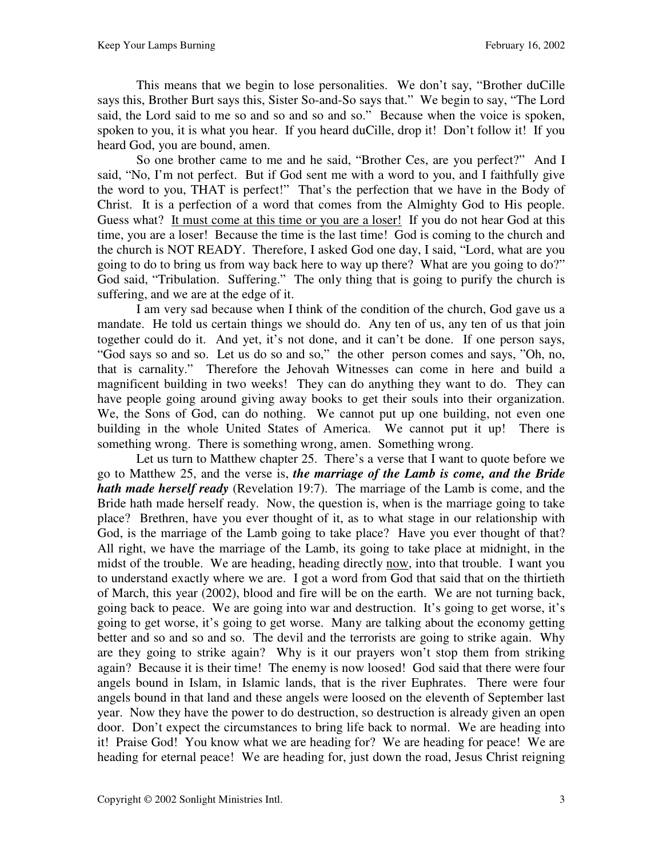This means that we begin to lose personalities. We don't say, "Brother duCille says this, Brother Burt says this, Sister So-and-So says that." We begin to say, "The Lord said, the Lord said to me so and so and so and so." Because when the voice is spoken, spoken to you, it is what you hear. If you heard duCille, drop it! Don't follow it! If you heard God, you are bound, amen.

 So one brother came to me and he said, "Brother Ces, are you perfect?" And I said, "No, I'm not perfect. But if God sent me with a word to you, and I faithfully give the word to you, THAT is perfect!" That's the perfection that we have in the Body of Christ. It is a perfection of a word that comes from the Almighty God to His people. Guess what? It must come at this time or you are a loser! If you do not hear God at this time, you are a loser! Because the time is the last time! God is coming to the church and the church is NOT READY. Therefore, I asked God one day, I said, "Lord, what are you going to do to bring us from way back here to way up there? What are you going to do?" God said, "Tribulation. Suffering." The only thing that is going to purify the church is suffering, and we are at the edge of it.

 I am very sad because when I think of the condition of the church, God gave us a mandate. He told us certain things we should do. Any ten of us, any ten of us that join together could do it. And yet, it's not done, and it can't be done. If one person says, "God says so and so. Let us do so and so," the other person comes and says, "Oh, no, that is carnality." Therefore the Jehovah Witnesses can come in here and build a magnificent building in two weeks! They can do anything they want to do. They can have people going around giving away books to get their souls into their organization. We, the Sons of God, can do nothing. We cannot put up one building, not even one building in the whole United States of America. We cannot put it up! There is something wrong. There is something wrong, amen. Something wrong.

 Let us turn to Matthew chapter 25. There's a verse that I want to quote before we go to Matthew 25, and the verse is, *the marriage of the Lamb is come, and the Bride hath made herself ready* (Revelation 19:7). The marriage of the Lamb is come, and the Bride hath made herself ready. Now, the question is, when is the marriage going to take place? Brethren, have you ever thought of it, as to what stage in our relationship with God, is the marriage of the Lamb going to take place? Have you ever thought of that? All right, we have the marriage of the Lamb, its going to take place at midnight, in the midst of the trouble. We are heading, heading directly now, into that trouble. I want you to understand exactly where we are. I got a word from God that said that on the thirtieth of March, this year (2002), blood and fire will be on the earth. We are not turning back, going back to peace. We are going into war and destruction. It's going to get worse, it's going to get worse, it's going to get worse. Many are talking about the economy getting better and so and so and so. The devil and the terrorists are going to strike again. Why are they going to strike again? Why is it our prayers won't stop them from striking again? Because it is their time! The enemy is now loosed! God said that there were four angels bound in Islam, in Islamic lands, that is the river Euphrates. There were four angels bound in that land and these angels were loosed on the eleventh of September last year. Now they have the power to do destruction, so destruction is already given an open door. Don't expect the circumstances to bring life back to normal. We are heading into it! Praise God! You know what we are heading for? We are heading for peace! We are heading for eternal peace! We are heading for, just down the road, Jesus Christ reigning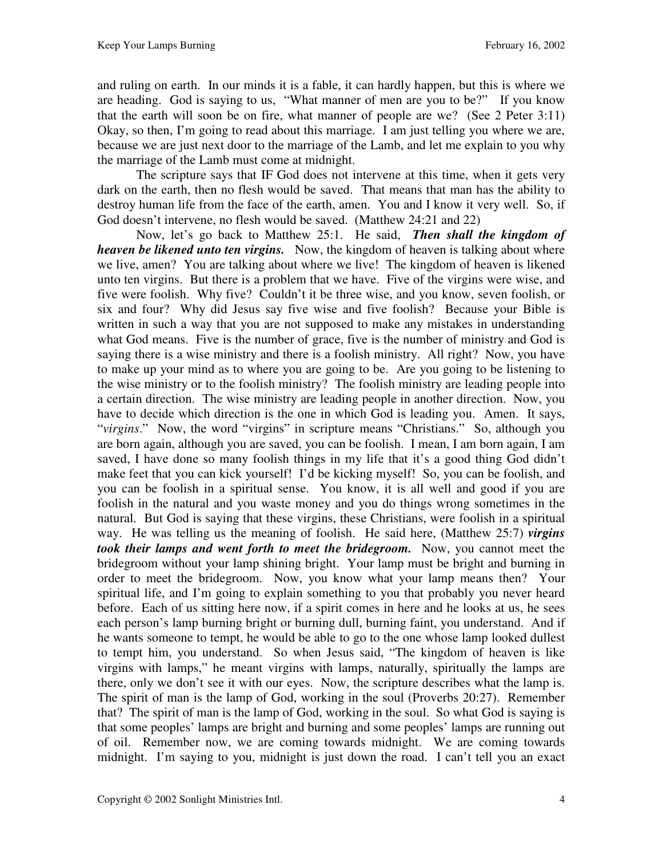and ruling on earth. In our minds it is a fable, it can hardly happen, but this is where we are heading. God is saying to us, "What manner of men are you to be?" If you know that the earth will soon be on fire, what manner of people are we? (See 2 Peter 3:11) Okay, so then, I'm going to read about this marriage. I am just telling you where we are, because we are just next door to the marriage of the Lamb, and let me explain to you why the marriage of the Lamb must come at midnight.

 The scripture says that IF God does not intervene at this time, when it gets very dark on the earth, then no flesh would be saved. That means that man has the ability to destroy human life from the face of the earth, amen. You and I know it very well. So, if God doesn't intervene, no flesh would be saved. (Matthew 24:21 and 22)

 Now, let's go back to Matthew 25:1. He said, *Then shall the kingdom of heaven be likened unto ten virgins.* Now, the kingdom of heaven is talking about where we live, amen? You are talking about where we live! The kingdom of heaven is likened unto ten virgins. But there is a problem that we have. Five of the virgins were wise, and five were foolish. Why five? Couldn't it be three wise, and you know, seven foolish, or six and four? Why did Jesus say five wise and five foolish? Because your Bible is written in such a way that you are not supposed to make any mistakes in understanding what God means. Five is the number of grace, five is the number of ministry and God is saying there is a wise ministry and there is a foolish ministry. All right? Now, you have to make up your mind as to where you are going to be. Are you going to be listening to the wise ministry or to the foolish ministry? The foolish ministry are leading people into a certain direction. The wise ministry are leading people in another direction. Now, you have to decide which direction is the one in which God is leading you. Amen. It says, "*virgins*." Now, the word "virgins" in scripture means "Christians." So, although you are born again, although you are saved, you can be foolish. I mean, I am born again, I am saved, I have done so many foolish things in my life that it's a good thing God didn't make feet that you can kick yourself! I'd be kicking myself! So, you can be foolish, and you can be foolish in a spiritual sense. You know, it is all well and good if you are foolish in the natural and you waste money and you do things wrong sometimes in the natural. But God is saying that these virgins, these Christians, were foolish in a spiritual way. He was telling us the meaning of foolish. He said here, (Matthew 25:7) *virgins took their lamps and went forth to meet the bridegroom.* Now, you cannot meet the bridegroom without your lamp shining bright. Your lamp must be bright and burning in order to meet the bridegroom. Now, you know what your lamp means then? Your spiritual life, and I'm going to explain something to you that probably you never heard before. Each of us sitting here now, if a spirit comes in here and he looks at us, he sees each person's lamp burning bright or burning dull, burning faint, you understand. And if he wants someone to tempt, he would be able to go to the one whose lamp looked dullest to tempt him, you understand. So when Jesus said, "The kingdom of heaven is like virgins with lamps," he meant virgins with lamps, naturally, spiritually the lamps are there, only we don't see it with our eyes. Now, the scripture describes what the lamp is. The spirit of man is the lamp of God, working in the soul (Proverbs 20:27).Remember that? The spirit of man is the lamp of God, working in the soul. So what God is saying is that some peoples' lamps are bright and burning and some peoples' lamps are running out of oil. Remember now, we are coming towards midnight. We are coming towards midnight. I'm saying to you, midnight is just down the road. I can't tell you an exact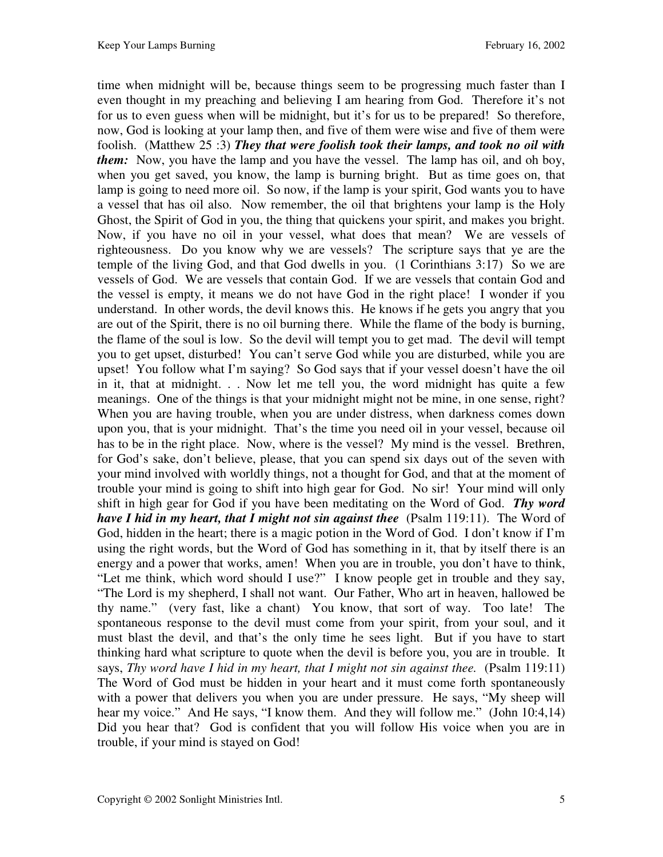time when midnight will be, because things seem to be progressing much faster than I even thought in my preaching and believing I am hearing from God. Therefore it's not for us to even guess when will be midnight, but it's for us to be prepared! So therefore, now, God is looking at your lamp then, and five of them were wise and five of them were foolish. (Matthew 25 :3) *They that were foolish took their lamps, and took no oil with them:* Now, you have the lamp and you have the vessel. The lamp has oil, and oh boy, when you get saved, you know, the lamp is burning bright. But as time goes on, that lamp is going to need more oil. So now, if the lamp is your spirit, God wants you to have a vessel that has oil also. Now remember, the oil that brightens your lamp is the Holy Ghost, the Spirit of God in you, the thing that quickens your spirit, and makes you bright. Now, if you have no oil in your vessel, what does that mean? We are vessels of righteousness. Do you know why we are vessels? The scripture says that ye are the temple of the living God, and that God dwells in you. (1 Corinthians 3:17) So we are vessels of God. We are vessels that contain God. If we are vessels that contain God and the vessel is empty, it means we do not have God in the right place! I wonder if you understand. In other words, the devil knows this. He knows if he gets you angry that you are out of the Spirit, there is no oil burning there. While the flame of the body is burning, the flame of the soul is low. So the devil will tempt you to get mad. The devil will tempt you to get upset, disturbed! You can't serve God while you are disturbed, while you are upset! You follow what I'm saying? So God says that if your vessel doesn't have the oil in it, that at midnight. . . Now let me tell you, the word midnight has quite a few meanings. One of the things is that your midnight might not be mine, in one sense, right? When you are having trouble, when you are under distress, when darkness comes down upon you, that is your midnight. That's the time you need oil in your vessel, because oil has to be in the right place. Now, where is the vessel? My mind is the vessel. Brethren, for God's sake, don't believe, please, that you can spend six days out of the seven with your mind involved with worldly things, not a thought for God, and that at the moment of trouble your mind is going to shift into high gear for God. No sir! Your mind will only shift in high gear for God if you have been meditating on the Word of God. *Thy word have I hid in my heart, that I might not sin against thee* (Psalm 119:11). The Word of God, hidden in the heart; there is a magic potion in the Word of God. I don't know if I'm using the right words, but the Word of God has something in it, that by itself there is an energy and a power that works, amen! When you are in trouble, you don't have to think, "Let me think, which word should I use?" I know people get in trouble and they say, "The Lord is my shepherd, I shall not want. Our Father, Who art in heaven, hallowed be thy name." (very fast, like a chant) You know, that sort of way. Too late! The spontaneous response to the devil must come from your spirit, from your soul, and it must blast the devil, and that's the only time he sees light. But if you have to start thinking hard what scripture to quote when the devil is before you, you are in trouble. It says, *Thy word have I hid in my heart, that I might not sin against thee.* (Psalm 119:11) The Word of God must be hidden in your heart and it must come forth spontaneously with a power that delivers you when you are under pressure. He says, "My sheep will hear my voice." And He says, "I know them. And they will follow me." (John 10:4,14) Did you hear that? God is confident that you will follow His voice when you are in trouble, if your mind is stayed on God!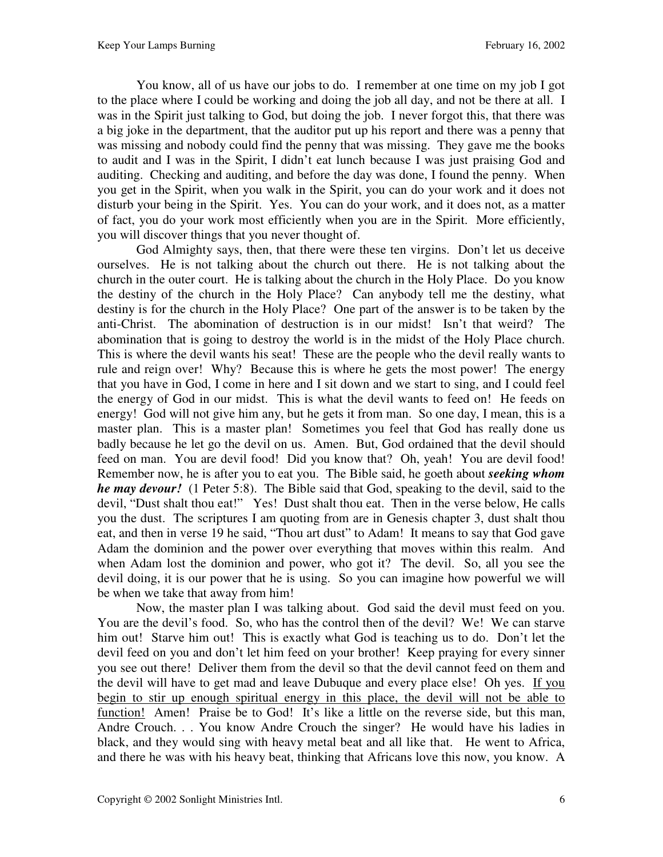You know, all of us have our jobs to do. I remember at one time on my job I got to the place where I could be working and doing the job all day, and not be there at all. I was in the Spirit just talking to God, but doing the job. I never forgot this, that there was a big joke in the department, that the auditor put up his report and there was a penny that was missing and nobody could find the penny that was missing. They gave me the books to audit and I was in the Spirit, I didn't eat lunch because I was just praising God and auditing. Checking and auditing, and before the day was done, I found the penny. When you get in the Spirit, when you walk in the Spirit, you can do your work and it does not disturb your being in the Spirit. Yes. You can do your work, and it does not, as a matter of fact, you do your work most efficiently when you are in the Spirit. More efficiently, you will discover things that you never thought of.

 God Almighty says, then, that there were these ten virgins. Don't let us deceive ourselves. He is not talking about the church out there. He is not talking about the church in the outer court. He is talking about the church in the Holy Place. Do you know the destiny of the church in the Holy Place? Can anybody tell me the destiny, what destiny is for the church in the Holy Place? One part of the answer is to be taken by the anti-Christ. The abomination of destruction is in our midst! Isn't that weird? The abomination that is going to destroy the world is in the midst of the Holy Place church. This is where the devil wants his seat! These are the people who the devil really wants to rule and reign over! Why? Because this is where he gets the most power! The energy that you have in God, I come in here and I sit down and we start to sing, and I could feel the energy of God in our midst. This is what the devil wants to feed on! He feeds on energy! God will not give him any, but he gets it from man. So one day, I mean, this is a master plan. This is a master plan! Sometimes you feel that God has really done us badly because he let go the devil on us. Amen. But, God ordained that the devil should feed on man. You are devil food! Did you know that? Oh, yeah! You are devil food! Remember now, he is after you to eat you. The Bible said, he goeth about *seeking whom he may devour!* (1 Peter 5:8). The Bible said that God, speaking to the devil, said to the devil, "Dust shalt thou eat!" Yes! Dust shalt thou eat. Then in the verse below, He calls you the dust. The scriptures I am quoting from are in Genesis chapter 3, dust shalt thou eat, and then in verse 19 he said, "Thou art dust" to Adam! It means to say that God gave Adam the dominion and the power over everything that moves within this realm. And when Adam lost the dominion and power, who got it? The devil. So, all you see the devil doing, it is our power that he is using. So you can imagine how powerful we will be when we take that away from him!

 Now, the master plan I was talking about. God said the devil must feed on you. You are the devil's food. So, who has the control then of the devil? We! We can starve him out! Starve him out! This is exactly what God is teaching us to do. Don't let the devil feed on you and don't let him feed on your brother! Keep praying for every sinner you see out there! Deliver them from the devil so that the devil cannot feed on them and the devil will have to get mad and leave Dubuque and every place else! Oh yes. If you begin to stir up enough spiritual energy in this place, the devil will not be able to function! Amen! Praise be to God! It's like a little on the reverse side, but this man, Andre Crouch. . . You know Andre Crouch the singer? He would have his ladies in black, and they would sing with heavy metal beat and all like that. He went to Africa, and there he was with his heavy beat, thinking that Africans love this now, you know. A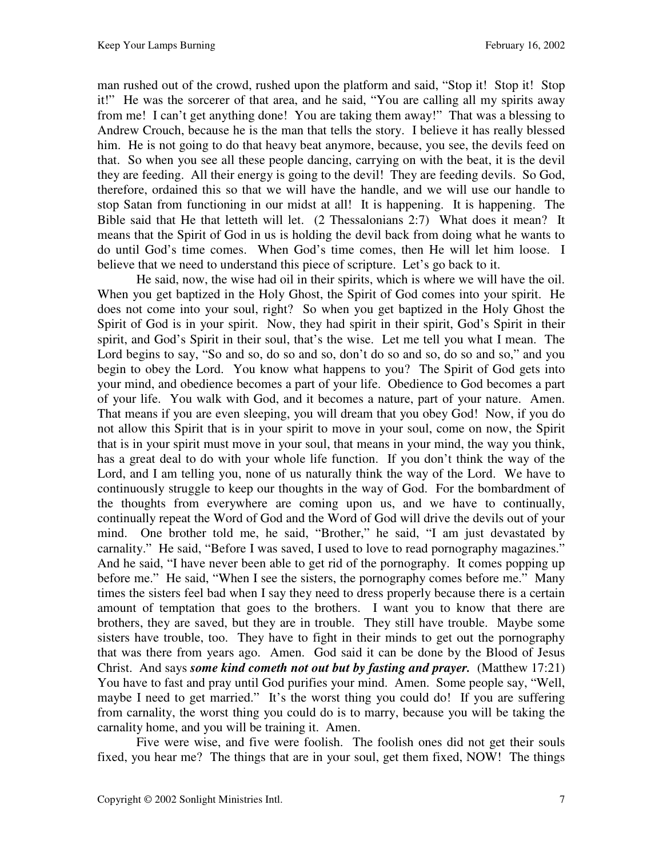man rushed out of the crowd, rushed upon the platform and said, "Stop it! Stop it! Stop it!" He was the sorcerer of that area, and he said, "You are calling all my spirits away from me! I can't get anything done! You are taking them away!" That was a blessing to Andrew Crouch, because he is the man that tells the story. I believe it has really blessed him. He is not going to do that heavy beat anymore, because, you see, the devils feed on that. So when you see all these people dancing, carrying on with the beat, it is the devil they are feeding. All their energy is going to the devil! They are feeding devils. So God, therefore, ordained this so that we will have the handle, and we will use our handle to stop Satan from functioning in our midst at all! It is happening. It is happening. The Bible said that He that letteth will let. (2 Thessalonians 2:7) What does it mean? It means that the Spirit of God in us is holding the devil back from doing what he wants to do until God's time comes. When God's time comes, then He will let him loose. I believe that we need to understand this piece of scripture. Let's go back to it.

 He said, now, the wise had oil in their spirits, which is where we will have the oil. When you get baptized in the Holy Ghost, the Spirit of God comes into your spirit. He does not come into your soul, right? So when you get baptized in the Holy Ghost the Spirit of God is in your spirit. Now, they had spirit in their spirit, God's Spirit in their spirit, and God's Spirit in their soul, that's the wise. Let me tell you what I mean. The Lord begins to say, "So and so, do so and so, don't do so and so, do so and so," and you begin to obey the Lord. You know what happens to you? The Spirit of God gets into your mind, and obedience becomes a part of your life. Obedience to God becomes a part of your life. You walk with God, and it becomes a nature, part of your nature. Amen. That means if you are even sleeping, you will dream that you obey God! Now, if you do not allow this Spirit that is in your spirit to move in your soul, come on now, the Spirit that is in your spirit must move in your soul, that means in your mind, the way you think, has a great deal to do with your whole life function. If you don't think the way of the Lord, and I am telling you, none of us naturally think the way of the Lord. We have to continuously struggle to keep our thoughts in the way of God. For the bombardment of the thoughts from everywhere are coming upon us, and we have to continually, continually repeat the Word of God and the Word of God will drive the devils out of your mind. One brother told me, he said, "Brother," he said, "I am just devastated by carnality." He said, "Before I was saved, I used to love to read pornography magazines." And he said, "I have never been able to get rid of the pornography. It comes popping up before me." He said, "When I see the sisters, the pornography comes before me." Many times the sisters feel bad when I say they need to dress properly because there is a certain amount of temptation that goes to the brothers. I want you to know that there are brothers, they are saved, but they are in trouble. They still have trouble. Maybe some sisters have trouble, too. They have to fight in their minds to get out the pornography that was there from years ago. Amen. God said it can be done by the Blood of Jesus Christ. And says *some kind cometh not out but by fasting and prayer.* (Matthew 17:21) You have to fast and pray until God purifies your mind. Amen. Some people say, "Well, maybe I need to get married." It's the worst thing you could do! If you are suffering from carnality, the worst thing you could do is to marry, because you will be taking the carnality home, and you will be training it. Amen.

 Five were wise, and five were foolish. The foolish ones did not get their souls fixed, you hear me? The things that are in your soul, get them fixed, NOW! The things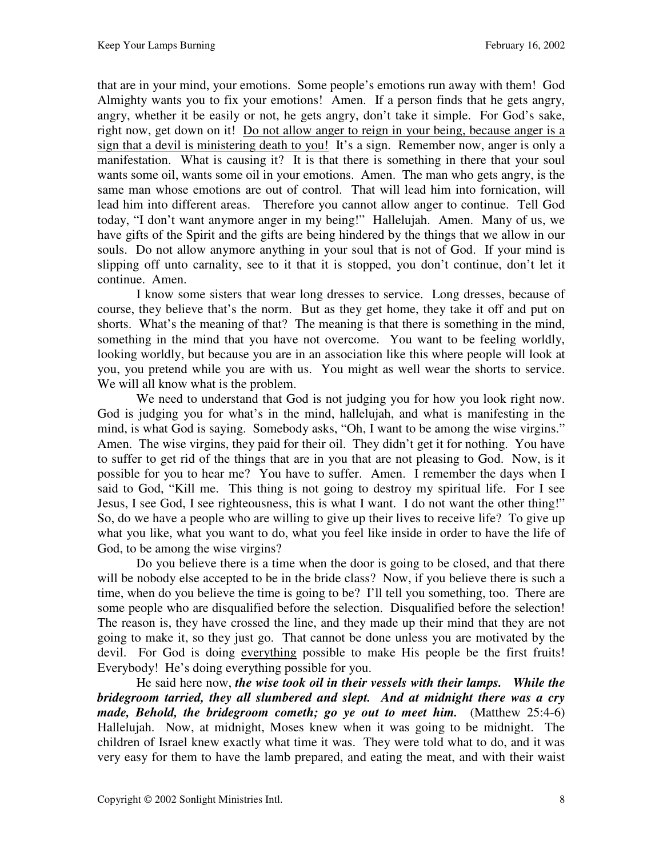that are in your mind, your emotions. Some people's emotions run away with them! God Almighty wants you to fix your emotions! Amen. If a person finds that he gets angry, angry, whether it be easily or not, he gets angry, don't take it simple. For God's sake, right now, get down on it! Do not allow anger to reign in your being, because anger is a sign that a devil is ministering death to you! It's a sign. Remember now, anger is only a manifestation. What is causing it? It is that there is something in there that your soul wants some oil, wants some oil in your emotions. Amen. The man who gets angry, is the same man whose emotions are out of control. That will lead him into fornication, will lead him into different areas. Therefore you cannot allow anger to continue. Tell God today, "I don't want anymore anger in my being!" Hallelujah. Amen. Many of us, we have gifts of the Spirit and the gifts are being hindered by the things that we allow in our souls. Do not allow anymore anything in your soul that is not of God. If your mind is slipping off unto carnality, see to it that it is stopped, you don't continue, don't let it continue. Amen.

 I know some sisters that wear long dresses to service. Long dresses, because of course, they believe that's the norm. But as they get home, they take it off and put on shorts. What's the meaning of that? The meaning is that there is something in the mind, something in the mind that you have not overcome. You want to be feeling worldly, looking worldly, but because you are in an association like this where people will look at you, you pretend while you are with us. You might as well wear the shorts to service. We will all know what is the problem.

 We need to understand that God is not judging you for how you look right now. God is judging you for what's in the mind, hallelujah, and what is manifesting in the mind, is what God is saying. Somebody asks, "Oh, I want to be among the wise virgins." Amen. The wise virgins, they paid for their oil. They didn't get it for nothing. You have to suffer to get rid of the things that are in you that are not pleasing to God. Now, is it possible for you to hear me? You have to suffer. Amen. I remember the days when I said to God, "Kill me. This thing is not going to destroy my spiritual life. For I see Jesus, I see God, I see righteousness, this is what I want. I do not want the other thing!" So, do we have a people who are willing to give up their lives to receive life? To give up what you like, what you want to do, what you feel like inside in order to have the life of God, to be among the wise virgins?

 Do you believe there is a time when the door is going to be closed, and that there will be nobody else accepted to be in the bride class? Now, if you believe there is such a time, when do you believe the time is going to be? I'll tell you something, too. There are some people who are disqualified before the selection. Disqualified before the selection! The reason is, they have crossed the line, and they made up their mind that they are not going to make it, so they just go. That cannot be done unless you are motivated by the devil. For God is doing everything possible to make His people be the first fruits! Everybody! He's doing everything possible for you.

 He said here now, *the wise took oil in their vessels with their lamps. While the bridegroom tarried, they all slumbered and slept. And at midnight there was a cry made, Behold, the bridegroom cometh; go ye out to meet him.* (Matthew 25:4-6) Hallelujah. Now, at midnight, Moses knew when it was going to be midnight. The children of Israel knew exactly what time it was. They were told what to do, and it was very easy for them to have the lamb prepared, and eating the meat, and with their waist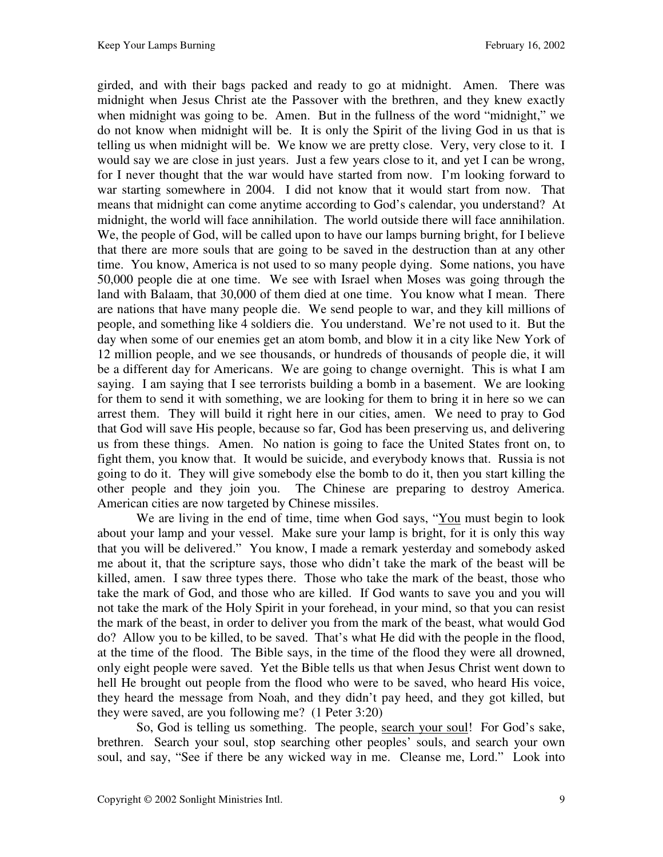girded, and with their bags packed and ready to go at midnight. Amen. There was midnight when Jesus Christ ate the Passover with the brethren, and they knew exactly when midnight was going to be. Amen. But in the fullness of the word "midnight," we do not know when midnight will be. It is only the Spirit of the living God in us that is telling us when midnight will be. We know we are pretty close. Very, very close to it. I would say we are close in just years. Just a few years close to it, and yet I can be wrong, for I never thought that the war would have started from now. I'm looking forward to war starting somewhere in 2004. I did not know that it would start from now. That means that midnight can come anytime according to God's calendar, you understand? At midnight, the world will face annihilation. The world outside there will face annihilation. We, the people of God, will be called upon to have our lamps burning bright, for I believe that there are more souls that are going to be saved in the destruction than at any other time. You know, America is not used to so many people dying. Some nations, you have 50,000 people die at one time. We see with Israel when Moses was going through the land with Balaam, that 30,000 of them died at one time. You know what I mean. There are nations that have many people die. We send people to war, and they kill millions of people, and something like 4 soldiers die. You understand. We're not used to it. But the day when some of our enemies get an atom bomb, and blow it in a city like New York of 12 million people, and we see thousands, or hundreds of thousands of people die, it will be a different day for Americans. We are going to change overnight. This is what I am saying. I am saying that I see terrorists building a bomb in a basement. We are looking for them to send it with something, we are looking for them to bring it in here so we can arrest them. They will build it right here in our cities, amen. We need to pray to God that God will save His people, because so far, God has been preserving us, and delivering us from these things. Amen. No nation is going to face the United States front on, to fight them, you know that. It would be suicide, and everybody knows that. Russia is not going to do it. They will give somebody else the bomb to do it, then you start killing the other people and they join you. The Chinese are preparing to destroy America. American cities are now targeted by Chinese missiles.

 We are living in the end of time, time when God says, "You must begin to look about your lamp and your vessel. Make sure your lamp is bright, for it is only this way that you will be delivered." You know, I made a remark yesterday and somebody asked me about it, that the scripture says, those who didn't take the mark of the beast will be killed, amen. I saw three types there. Those who take the mark of the beast, those who take the mark of God, and those who are killed. If God wants to save you and you will not take the mark of the Holy Spirit in your forehead, in your mind, so that you can resist the mark of the beast, in order to deliver you from the mark of the beast, what would God do? Allow you to be killed, to be saved. That's what He did with the people in the flood, at the time of the flood. The Bible says, in the time of the flood they were all drowned, only eight people were saved. Yet the Bible tells us that when Jesus Christ went down to hell He brought out people from the flood who were to be saved, who heard His voice, they heard the message from Noah, and they didn't pay heed, and they got killed, but they were saved, are you following me? (1 Peter 3:20)

 So, God is telling us something. The people, search your soul! For God's sake, brethren. Search your soul, stop searching other peoples' souls, and search your own soul, and say, "See if there be any wicked way in me. Cleanse me, Lord." Look into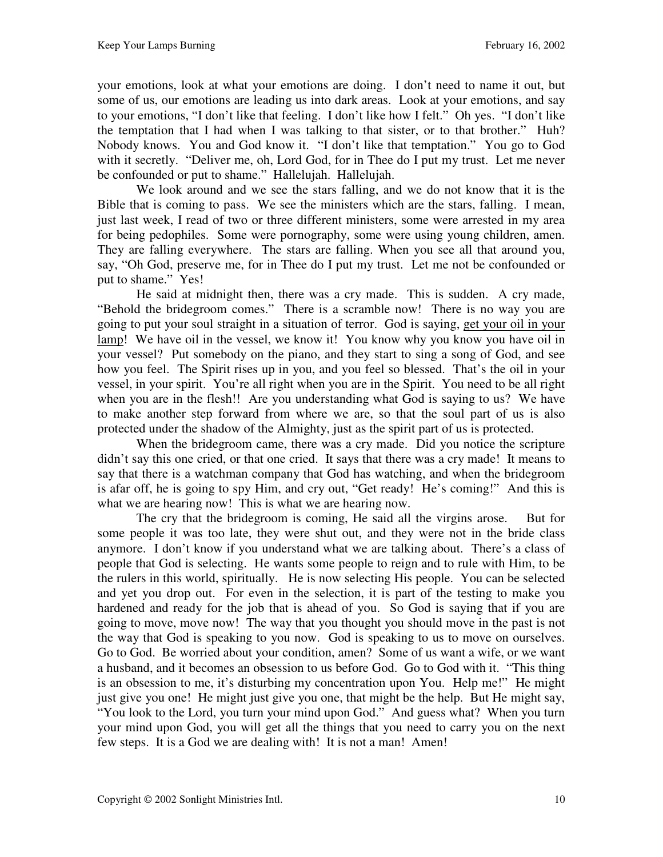your emotions, look at what your emotions are doing. I don't need to name it out, but some of us, our emotions are leading us into dark areas. Look at your emotions, and say to your emotions, "I don't like that feeling. I don't like how I felt." Oh yes. "I don't like the temptation that I had when I was talking to that sister, or to that brother." Huh? Nobody knows. You and God know it. "I don't like that temptation." You go to God with it secretly. "Deliver me, oh, Lord God, for in Thee do I put my trust. Let me never be confounded or put to shame." Hallelujah. Hallelujah.

 We look around and we see the stars falling, and we do not know that it is the Bible that is coming to pass. We see the ministers which are the stars, falling. I mean, just last week, I read of two or three different ministers, some were arrested in my area for being pedophiles. Some were pornography, some were using young children, amen. They are falling everywhere. The stars are falling. When you see all that around you, say, "Oh God, preserve me, for in Thee do I put my trust. Let me not be confounded or put to shame." Yes!

 He said at midnight then, there was a cry made. This is sudden. A cry made, "Behold the bridegroom comes." There is a scramble now! There is no way you are going to put your soul straight in a situation of terror. God is saying, get your oil in your lamp! We have oil in the vessel, we know it! You know why you know you have oil in your vessel? Put somebody on the piano, and they start to sing a song of God, and see how you feel. The Spirit rises up in you, and you feel so blessed. That's the oil in your vessel, in your spirit. You're all right when you are in the Spirit. You need to be all right when you are in the flesh!! Are you understanding what God is saying to us? We have to make another step forward from where we are, so that the soul part of us is also protected under the shadow of the Almighty, just as the spirit part of us is protected.

 When the bridegroom came, there was a cry made. Did you notice the scripture didn't say this one cried, or that one cried. It says that there was a cry made! It means to say that there is a watchman company that God has watching, and when the bridegroom is afar off, he is going to spy Him, and cry out, "Get ready! He's coming!" And this is what we are hearing now! This is what we are hearing now.

 The cry that the bridegroom is coming, He said all the virgins arose. But for some people it was too late, they were shut out, and they were not in the bride class anymore. I don't know if you understand what we are talking about. There's a class of people that God is selecting. He wants some people to reign and to rule with Him, to be the rulers in this world, spiritually. He is now selecting His people. You can be selected and yet you drop out. For even in the selection, it is part of the testing to make you hardened and ready for the job that is ahead of you. So God is saying that if you are going to move, move now! The way that you thought you should move in the past is not the way that God is speaking to you now. God is speaking to us to move on ourselves. Go to God. Be worried about your condition, amen? Some of us want a wife, or we want a husband, and it becomes an obsession to us before God. Go to God with it. "This thing is an obsession to me, it's disturbing my concentration upon You. Help me!" He might just give you one! He might just give you one, that might be the help. But He might say, "You look to the Lord, you turn your mind upon God." And guess what? When you turn your mind upon God, you will get all the things that you need to carry you on the next few steps. It is a God we are dealing with! It is not a man! Amen!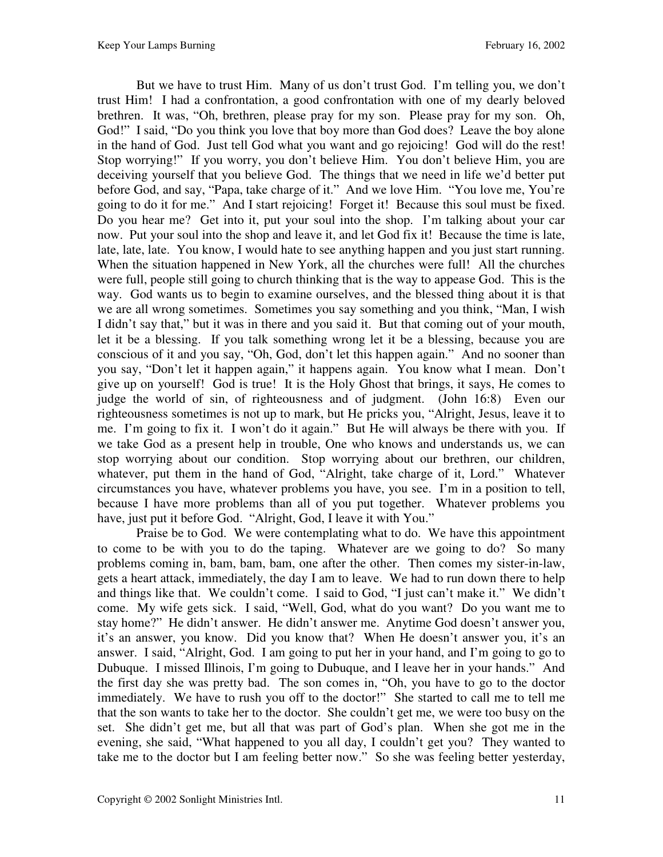But we have to trust Him. Many of us don't trust God. I'm telling you, we don't trust Him! I had a confrontation, a good confrontation with one of my dearly beloved brethren. It was, "Oh, brethren, please pray for my son. Please pray for my son. Oh, God!" I said, "Do you think you love that boy more than God does? Leave the boy alone in the hand of God. Just tell God what you want and go rejoicing! God will do the rest! Stop worrying!" If you worry, you don't believe Him. You don't believe Him, you are deceiving yourself that you believe God. The things that we need in life we'd better put before God, and say, "Papa, take charge of it." And we love Him. "You love me, You're going to do it for me." And I start rejoicing! Forget it! Because this soul must be fixed. Do you hear me? Get into it, put your soul into the shop. I'm talking about your car now. Put your soul into the shop and leave it, and let God fix it! Because the time is late, late, late, late. You know, I would hate to see anything happen and you just start running. When the situation happened in New York, all the churches were full! All the churches were full, people still going to church thinking that is the way to appease God. This is the way. God wants us to begin to examine ourselves, and the blessed thing about it is that we are all wrong sometimes. Sometimes you say something and you think, "Man, I wish I didn't say that," but it was in there and you said it. But that coming out of your mouth, let it be a blessing. If you talk something wrong let it be a blessing, because you are conscious of it and you say, "Oh, God, don't let this happen again." And no sooner than you say, "Don't let it happen again," it happens again. You know what I mean. Don't give up on yourself! God is true! It is the Holy Ghost that brings, it says, He comes to judge the world of sin, of righteousness and of judgment. (John 16:8) Even our righteousness sometimes is not up to mark, but He pricks you, "Alright, Jesus, leave it to me. I'm going to fix it. I won't do it again." But He will always be there with you. If we take God as a present help in trouble, One who knows and understands us, we can stop worrying about our condition. Stop worrying about our brethren, our children, whatever, put them in the hand of God, "Alright, take charge of it, Lord." Whatever circumstances you have, whatever problems you have, you see. I'm in a position to tell, because I have more problems than all of you put together. Whatever problems you have, just put it before God. "Alright, God, I leave it with You."

 Praise be to God. We were contemplating what to do. We have this appointment to come to be with you to do the taping. Whatever are we going to do? So many problems coming in, bam, bam, bam, one after the other. Then comes my sister-in-law, gets a heart attack, immediately, the day I am to leave. We had to run down there to help and things like that. We couldn't come. I said to God, "I just can't make it." We didn't come. My wife gets sick. I said, "Well, God, what do you want? Do you want me to stay home?" He didn't answer. He didn't answer me. Anytime God doesn't answer you, it's an answer, you know. Did you know that? When He doesn't answer you, it's an answer. I said, "Alright, God. I am going to put her in your hand, and I'm going to go to Dubuque. I missed Illinois, I'm going to Dubuque, and I leave her in your hands." And the first day she was pretty bad. The son comes in, "Oh, you have to go to the doctor immediately. We have to rush you off to the doctor!" She started to call me to tell me that the son wants to take her to the doctor. She couldn't get me, we were too busy on the set. She didn't get me, but all that was part of God's plan. When she got me in the evening, she said, "What happened to you all day, I couldn't get you? They wanted to take me to the doctor but I am feeling better now." So she was feeling better yesterday,